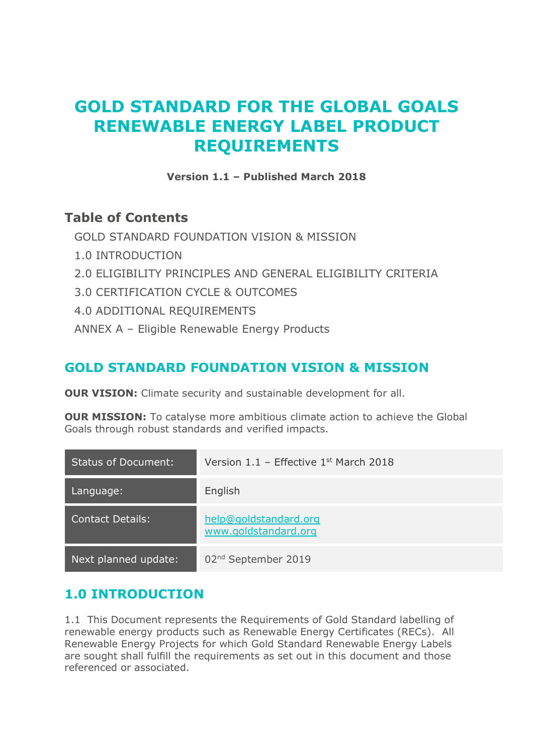# **GOLD STANDARD FOR THE GLOBAL GOALS RENEWABLE ENERGY LABEL PRODUCT REQUIREMENTS**

**Version 1.1 – Published March 2018**

#### **Table of Contents**

[GOLD STANDARD FOUNDATION VISION & MISSION](#page-0-0)

- [1.0 INTRODUCTION](#page-0-1)
- [2.0 ELIGIBILITY PRINCIPLES AND GENERAL ELIGIBILITY CRITERIA](#page-1-0)
- [3.0 CERTIFICATION CYCLE & OUTCOMES](#page-2-0)
- [4.0 ADDITIONAL REQUIREMENTS](#page-3-0)
- ANNEX A [Eligible Renewable Energy Products](#page-6-0)

#### <span id="page-0-0"></span>**GOLD STANDARD FOUNDATION VISION & MISSION**

**OUR VISION:** Climate security and sustainable development for all.

**OUR MISSION:** To catalyse more ambitious climate action to achieve the Global Goals through robust standards and verified impacts.

| <b>Status of Document:</b> | Version $1.1$ – Effective $1st$ March 2018    |
|----------------------------|-----------------------------------------------|
| Language:                  | English                                       |
| <b>Contact Details:</b>    | help@goldstandard.org<br>www.goldstandard.org |
| Next planned update:       | 02 <sup>nd</sup> September 2019               |

#### <span id="page-0-1"></span>**1.0 INTRODUCTION**

1.1 This Document represents the Requirements of Gold Standard labelling of renewable energy products such as Renewable Energy Certificates (RECs). All Renewable Energy Projects for which Gold Standard Renewable Energy Labels are sought shall fulfill the requirements as set out in this document and those referenced or associated.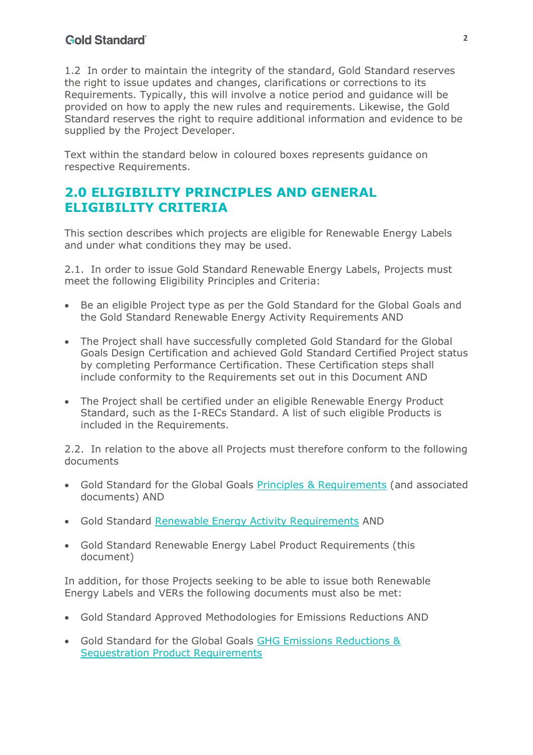#### **Gold Standard**

1.2 In order to maintain the integrity of the standard, Gold Standard reserves the right to issue updates and changes, clarifications or corrections to its Requirements. Typically, this will involve a notice period and guidance will be provided on how to apply the new rules and requirements. Likewise, the Gold Standard reserves the right to require additional information and evidence to be supplied by the Project Developer.

Text within the standard below in coloured boxes represents guidance on respective Requirements.

#### <span id="page-1-0"></span>**2.0 ELIGIBILITY PRINCIPLES AND GENERAL ELIGIBILITY CRITERIA**

This section describes which projects are eligible for Renewable Energy Labels and under what conditions they may be used.

2.1. In order to issue Gold Standard Renewable Energy Labels, Projects must meet the following Eligibility Principles and Criteria:

- Be an eligible Project type as per the Gold Standard for the Global Goals and the Gold Standard Renewable Energy Activity Requirements AND
- The Project shall have successfully completed Gold Standard for the Global Goals Design Certification and achieved Gold Standard Certified Project status by completing Performance Certification. These Certification steps shall include conformity to the Requirements set out in this Document AND
- The Project shall be certified under an eligible Renewable Energy Product Standard, such as the I-RECs Standard. A list of such eligible Products is included in the Requirements.

2.2. In relation to the above all Projects must therefore conform to the following documents

- Gold Standard for the Global Goals [Principles & Requirements](https://globalgoals.goldstandard.org/100/101-1-gold-standard-for-the-global-goals-principles-requirements#top) (and associated documents) AND
- Gold Standard [Renewable Energy Activity Requirements](https://globalgoals.goldstandard.org/201-re-gold-standard-renewable-energy-activity-requirements/) AND
- Gold Standard Renewable Energy Label Product Requirements (this document)

In addition, for those Projects seeking to be able to issue both Renewable Energy Labels and VERs the following documents must also be met:

- Gold Standard Approved Methodologies for Emissions Reductions AND
- Gold Standard for the Global Goals [GHG Emissions Reductions &](https://globalgoals.goldstandard.org/501-er-gold-standard-for-the-global-goals-ghg-emissions-reductions-sequestration-product-specifications/)  [Sequestration Product Requirements](https://globalgoals.goldstandard.org/501-er-gold-standard-for-the-global-goals-ghg-emissions-reductions-sequestration-product-specifications/)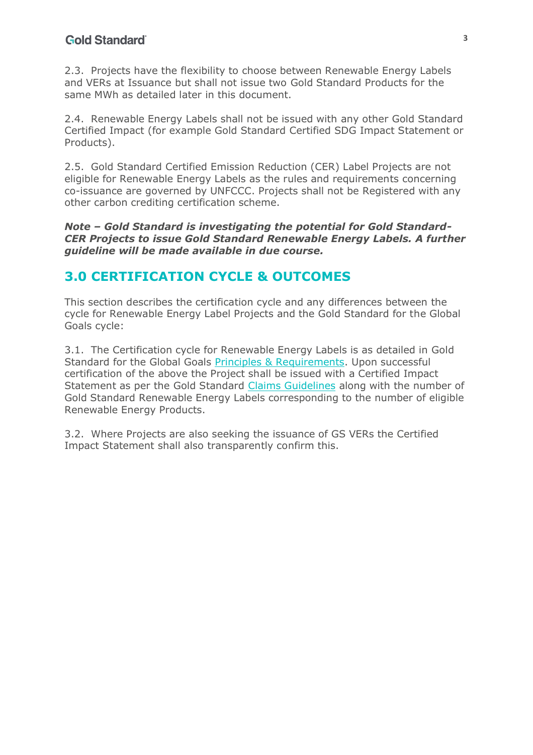2.3. Projects have the flexibility to choose between Renewable Energy Labels and VERs at Issuance but shall not issue two Gold Standard Products for the same MWh as detailed later in this document.

2.4. Renewable Energy Labels shall not be issued with any other Gold Standard Certified Impact (for example Gold Standard Certified SDG Impact Statement or Products).

2.5. Gold Standard Certified Emission Reduction (CER) Label Projects are not eligible for Renewable Energy Labels as the rules and requirements concerning co-issuance are governed by UNFCCC. Projects shall not be Registered with any other carbon crediting certification scheme.

*Note – Gold Standard is investigating the potential for Gold Standard-CER Projects to issue Gold Standard Renewable Energy Labels. A further guideline will be made available in due course.*

#### <span id="page-2-0"></span>**3.0 CERTIFICATION CYCLE & OUTCOMES**

This section describes the certification cycle and any differences between the cycle for Renewable Energy Label Projects and the Gold Standard for the Global Goals cycle:

3.1. The Certification cycle for Renewable Energy Labels is as detailed in Gold Standard for the Global Goals [Principles & Requirements.](https://globalgoals.goldstandard.org/100/101-1-gold-standard-for-the-global-goals-principles-requirements#top) Upon successful certification of the above the Project shall be issued with a Certified Impact Statement as per the Gold Standard [Claims Guidelines](https://globalgoals.goldstandard.org/101-1-g-cg-gold-standard-for-the-global-goals-claims-guidelines/) along with the number of Gold Standard Renewable Energy Labels corresponding to the number of eligible Renewable Energy Products.

3.2. Where Projects are also seeking the issuance of GS VERs the Certified Impact Statement shall also transparently confirm this.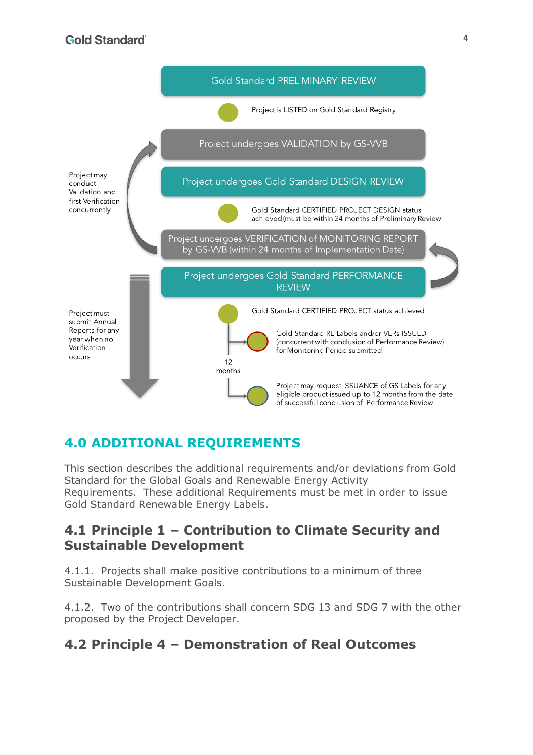

# <span id="page-3-0"></span>**4.0 ADDITIONAL REQUIREMENTS**

This section describes the additional requirements and/or deviations from Gold Standard for the Global Goals and Renewable Energy Activity Requirements. These additional Requirements must be met in order to issue Gold Standard Renewable Energy Labels.

#### **4.1 Principle 1 – Contribution to Climate Security and Sustainable Development**

4.1.1. Projects shall make positive contributions to a minimum of three Sustainable Development Goals.

4.1.2. Two of the contributions shall concern SDG 13 and SDG 7 with the other proposed by the Project Developer.

#### **4.2 Principle 4 – Demonstration of Real Outcomes**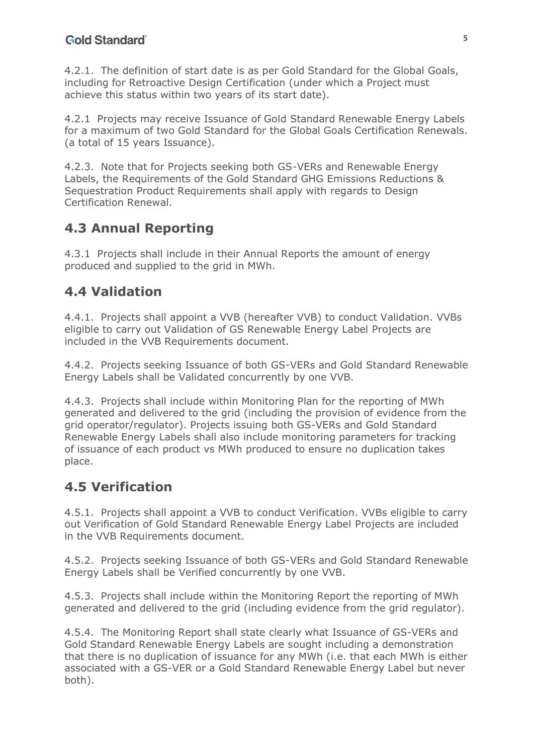4.2.1. The definition of start date is as per Gold Standard for the Global Goals, including for Retroactive Design Certification (under which a Project must achieve this status within two years of its start date).

4.2.1 Projects may receive Issuance of Gold Standard Renewable Energy Labels for a maximum of two Gold Standard for the Global Goals Certification Renewals. (a total of 15 years Issuance).

4.2.3. Note that for Projects seeking both GS-VERs and Renewable Energy Labels, the Requirements of the Gold Standard GHG Emissions Reductions & Sequestration Product Requirements shall apply with regards to Design Certification Renewal.

### **4.3 Annual Reporting**

4.3.1 Projects shall include in their Annual Reports the amount of energy produced and supplied to the grid in MWh.

# **4.4 Validation**

4.4.1. Projects shall appoint a VVB (hereafter VVB) to conduct Validation. VVBs eligible to carry out Validation of GS Renewable Energy Label Projects are included in the VVB Requirements document.

4.4.2. Projects seeking Issuance of both GS-VERs and Gold Standard Renewable Energy Labels shall be Validated concurrently by one VVB.

4.4.3. Projects shall include within Monitoring Plan for the reporting of MWh generated and delivered to the grid (including the provision of evidence from the grid operator/regulator). Projects issuing both GS-VERs and Gold Standard Renewable Energy Labels shall also include monitoring parameters for tracking of issuance of each product vs MWh produced to ensure no duplication takes place.

# **4.5 Verification**

4.5.1. Projects shall appoint a VVB to conduct Verification. VVBs eligible to carry out Verification of Gold Standard Renewable Energy Label Projects are included in the VVB Requirements document.

4.5.2. Projects seeking Issuance of both GS-VERs and Gold Standard Renewable Energy Labels shall be Verified concurrently by one VVB.

4.5.3. Projects shall include within the Monitoring Report the reporting of MWh generated and delivered to the grid (including evidence from the grid regulator).

4.5.4. The Monitoring Report shall state clearly what Issuance of GS-VERs and Gold Standard Renewable Energy Labels are sought including a demonstration that there is no duplication of issuance for any MWh (i.e. that each MWh is either associated with a GS-VER or a Gold Standard Renewable Energy Label but never both).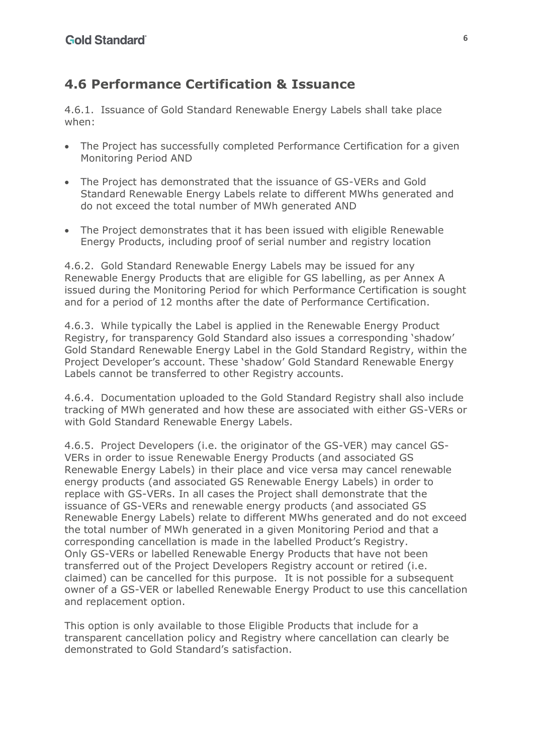#### **4.6 Performance Certification & Issuance**

4.6.1. Issuance of Gold Standard Renewable Energy Labels shall take place when:

- The Project has successfully completed Performance Certification for a given Monitoring Period AND
- The Project has demonstrated that the issuance of GS-VERs and Gold Standard Renewable Energy Labels relate to different MWhs generated and do not exceed the total number of MWh generated AND
- The Project demonstrates that it has been issued with eligible Renewable Energy Products, including proof of serial number and registry location

4.6.2. Gold Standard Renewable Energy Labels may be issued for any Renewable Energy Products that are eligible for GS labelling, as per Annex A issued during the Monitoring Period for which Performance Certification is sought and for a period of 12 months after the date of Performance Certification.

4.6.3. While typically the Label is applied in the Renewable Energy Product Registry, for transparency Gold Standard also issues a corresponding 'shadow' Gold Standard Renewable Energy Label in the Gold Standard Registry, within the Project Developer's account. These 'shadow' Gold Standard Renewable Energy Labels cannot be transferred to other Registry accounts.

4.6.4. Documentation uploaded to the Gold Standard Registry shall also include tracking of MWh generated and how these are associated with either GS-VERs or with Gold Standard Renewable Energy Labels.

4.6.5. Project Developers (i.e. the originator of the GS-VER) may cancel GS-VERs in order to issue Renewable Energy Products (and associated GS Renewable Energy Labels) in their place and vice versa may cancel renewable energy products (and associated GS Renewable Energy Labels) in order to replace with GS-VERs. In all cases the Project shall demonstrate that the issuance of GS-VERs and renewable energy products (and associated GS Renewable Energy Labels) relate to different MWhs generated and do not exceed the total number of MWh generated in a given Monitoring Period and that a corresponding cancellation is made in the labelled Product's Registry. Only GS-VERs or labelled Renewable Energy Products that have not been transferred out of the Project Developers Registry account or retired (i.e. claimed) can be cancelled for this purpose. It is not possible for a subsequent owner of a GS-VER or labelled Renewable Energy Product to use this cancellation and replacement option.

This option is only available to those Eligible Products that include for a transparent cancellation policy and Registry where cancellation can clearly be demonstrated to Gold Standard's satisfaction.